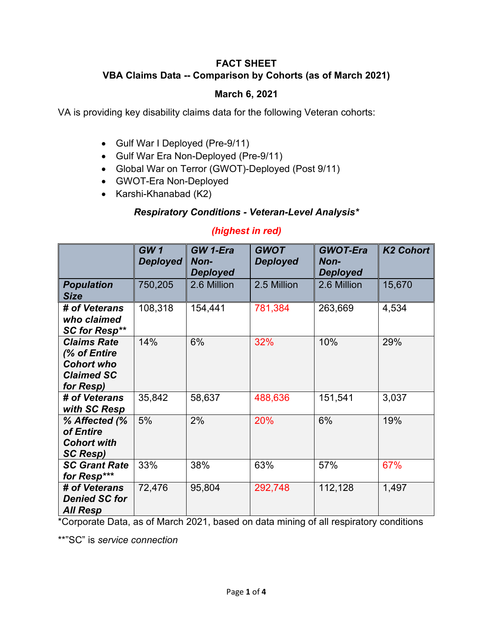## **FACT SHEET VBA Claims Data -- Comparison by Cohorts (as of March 2021)**

#### **March 6, 2021**

VA is providing key disability claims data for the following Veteran cohorts:

- Gulf War I Deployed (Pre-9/11)
- Gulf War Era Non-Deployed (Pre-9/11)
- Global War on Terror (GWOT)-Deployed (Post 9/11)
- GWOT-Era Non-Deployed
- Karshi-Khanabad (K2)

# *Respiratory Conditions - Veteran-Level Analysis\**

## *(highest in red)*

|                                                                                           | GW1<br><b>Deployed</b> | GW 1-Era<br>Non-<br><b>Deployed</b> | <b>GWOT</b><br><b>Deployed</b> | <b>GWOT-Era</b><br>Non-<br><b>Deployed</b> | <b>K2 Cohort</b> |
|-------------------------------------------------------------------------------------------|------------------------|-------------------------------------|--------------------------------|--------------------------------------------|------------------|
| <b>Population</b><br><b>Size</b>                                                          | 750,205                | 2.6 Million                         | 2.5 Million                    | 2.6 Million                                | 15,670           |
| # of Veterans<br>who claimed<br><b>SC for Resp**</b>                                      | 108,318                | 154,441                             | 781,384                        | 263,669                                    | 4,534            |
| <b>Claims Rate</b><br>(% of Entire<br><b>Cohort who</b><br><b>Claimed SC</b><br>for Resp) | 14%                    | 6%                                  | 32%                            | 10%                                        | 29%              |
| # of Veterans<br>with SC Resp                                                             | 35,842                 | 58,637                              | 488,636                        | 151,541                                    | 3,037            |
| % Affected (%<br>of Entire<br><b>Cohort with</b><br><b>SC Resp)</b>                       | 5%                     | 2%                                  | 20%                            | 6%                                         | 19%              |
| <b>SC Grant Rate</b><br>for Resp***                                                       | 33%                    | 38%                                 | 63%                            | 57%                                        | 67%              |
| # of Veterans<br><b>Denied SC for</b><br><b>All Resp</b>                                  | 72,476                 | 95,804                              | 292,748                        | 112,128                                    | 1,497            |

\*Corporate Data, as of March 2021, based on data mining of all respiratory conditions

\*\*"SC" is *service connection*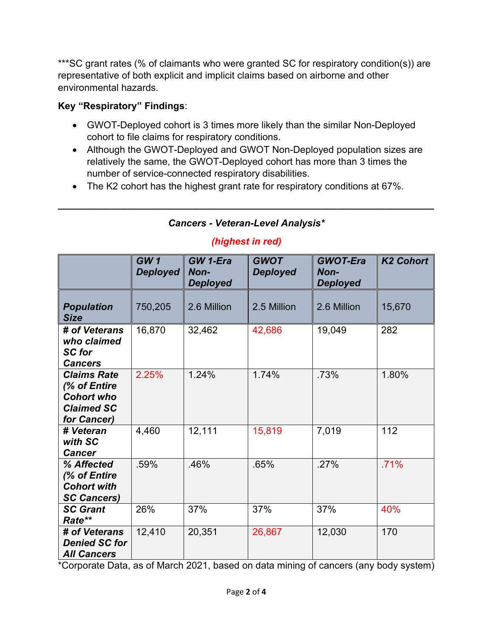\*\*\*SC grant rates (% of claimants who were granted SC for respiratory condition(s)) are representative of both explicit and implicit claims based on airborne and other environmental hazards.

## **Key "Respiratory" Findings**:

- GWOT-Deployed cohort is 3 times more likely than the similar Non-Deployed cohort to file claims for respiratory conditions.
- Although the GWOT-Deployed and GWOT Non-Deployed population sizes are relatively the same, the GWOT-Deployed cohort has more than 3 times the number of service-connected respiratory disabilities.
- The K2 cohort has the highest grant rate for respiratory conditions at 67%.

# *Cancers - Veteran-Level Analysis\**

**\_\_\_\_\_\_\_\_\_\_\_\_\_\_\_\_\_\_\_\_\_\_\_\_\_\_\_\_\_\_\_\_\_\_\_\_\_\_\_\_\_\_\_\_\_\_\_\_\_\_\_\_\_\_\_\_\_\_\_\_\_\_\_\_\_\_\_\_\_\_**

## *(highest in red)*

|                                                                                             | GW1<br><b>Deployed</b> | GW 1-Era<br>Non-<br><b>Deployed</b> | <b>GWOT</b><br><b>Deployed</b> | <b>GWOT-Era</b><br>Non-<br><b>Deployed</b> | <b>K2 Cohort</b> |
|---------------------------------------------------------------------------------------------|------------------------|-------------------------------------|--------------------------------|--------------------------------------------|------------------|
| <b>Population</b><br><b>Size</b>                                                            | 750,205                | 2.6 Million                         | 2.5 Million                    | 2.6 Million                                | 15,670           |
| # of Veterans<br>who claimed<br><b>SC</b> for<br><b>Cancers</b>                             | 16,870                 | 32,462                              | 42,686                         | 19,049                                     | 282              |
| <b>Claims Rate</b><br>(% of Entire<br><b>Cohort who</b><br><b>Claimed SC</b><br>for Cancer) | 2.25%                  | 1.24%                               | 1.74%                          | .73%                                       | 1.80%            |
| # Veteran<br>with SC<br><b>Cancer</b>                                                       | 4,460                  | 12,111                              | 15,819                         | 7,019                                      | 112              |
| % Affected<br>(% of Entire<br><b>Cohort with</b><br><b>SC Cancers)</b>                      | .59%                   | .46%                                | .65%                           | .27%                                       | .71%             |
| <b>SC Grant</b><br>Rate**                                                                   | 26%                    | 37%                                 | 37%                            | 37%                                        | 40%              |
| # of Veterans<br><b>Denied SC for</b><br><b>All Cancers</b>                                 | 12,410                 | 20,351                              | 26,867                         | 12,030                                     | 170              |

\*Corporate Data, as of March 2021, based on data mining of cancers (any body system)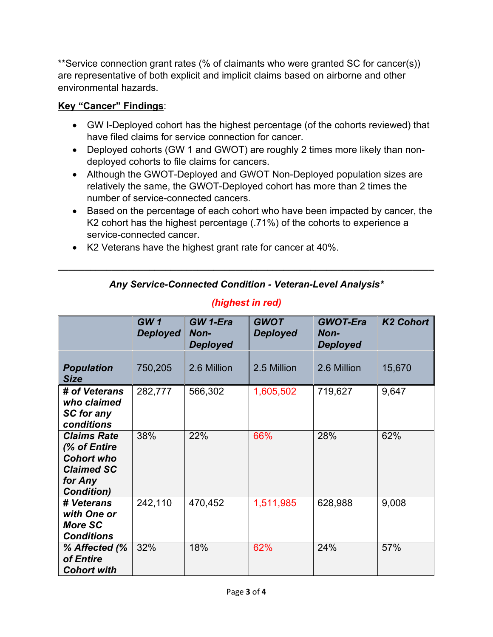\*\*Service connection grant rates (% of claimants who were granted SC for cancer(s)) are representative of both explicit and implicit claims based on airborne and other environmental hazards.

#### **Key "Cancer" Findings**:

- GW I-Deployed cohort has the highest percentage (of the cohorts reviewed) that have filed claims for service connection for cancer.
- Deployed cohorts (GW 1 and GWOT) are roughly 2 times more likely than nondeployed cohorts to file claims for cancers.
- Although the GWOT-Deployed and GWOT Non-Deployed population sizes are relatively the same, the GWOT-Deployed cohort has more than 2 times the number of service-connected cancers.
- Based on the percentage of each cohort who have been impacted by cancer, the K2 cohort has the highest percentage (.71%) of the cohorts to experience a service-connected cancer.
- K2 Veterans have the highest grant rate for cancer at 40%.

#### *Any Service-Connected Condition - Veteran-Level Analysis\**

**\_\_\_\_\_\_\_\_\_\_\_\_\_\_\_\_\_\_\_\_\_\_\_\_\_\_\_\_\_\_\_\_\_\_\_\_\_\_\_\_\_\_\_\_\_\_\_\_\_\_\_\_\_\_\_\_\_\_\_\_\_\_\_\_\_\_\_\_\_\_**

|                                                                                                              | GW1<br><b>Deployed</b> | <b>GW 1-Era</b><br>Non-<br><b>Deployed</b> | <b>GWOT</b><br><b>Deployed</b> | <b>GWOT-Era</b><br>Non-<br><b>Deployed</b> | <b>K2 Cohort</b> |
|--------------------------------------------------------------------------------------------------------------|------------------------|--------------------------------------------|--------------------------------|--------------------------------------------|------------------|
| <b>Population</b><br><b>Size</b>                                                                             | 750,205                | 2.6 Million                                | 2.5 Million                    | 2.6 Million                                | 15,670           |
| # of Veterans<br>who claimed<br>SC for any<br>conditions                                                     | 282,777                | 566,302                                    | 1,605,502                      | 719,627                                    | 9,647            |
| <b>Claims Rate</b><br>(% of Entire<br><b>Cohort who</b><br><b>Claimed SC</b><br>for Any<br><b>Condition)</b> | 38%                    | 22%                                        | 66%                            | 28%                                        | 62%              |
| # Veterans<br>with One or<br><b>More SC</b><br><b>Conditions</b>                                             | 242,110                | 470,452                                    | 1,511,985                      | 628,988                                    | 9,008            |
| % Affected (%<br>of Entire<br><b>Cohort with</b>                                                             | 32%                    | 18%                                        | 62%                            | 24%                                        | 57%              |

#### *(highest in red)*